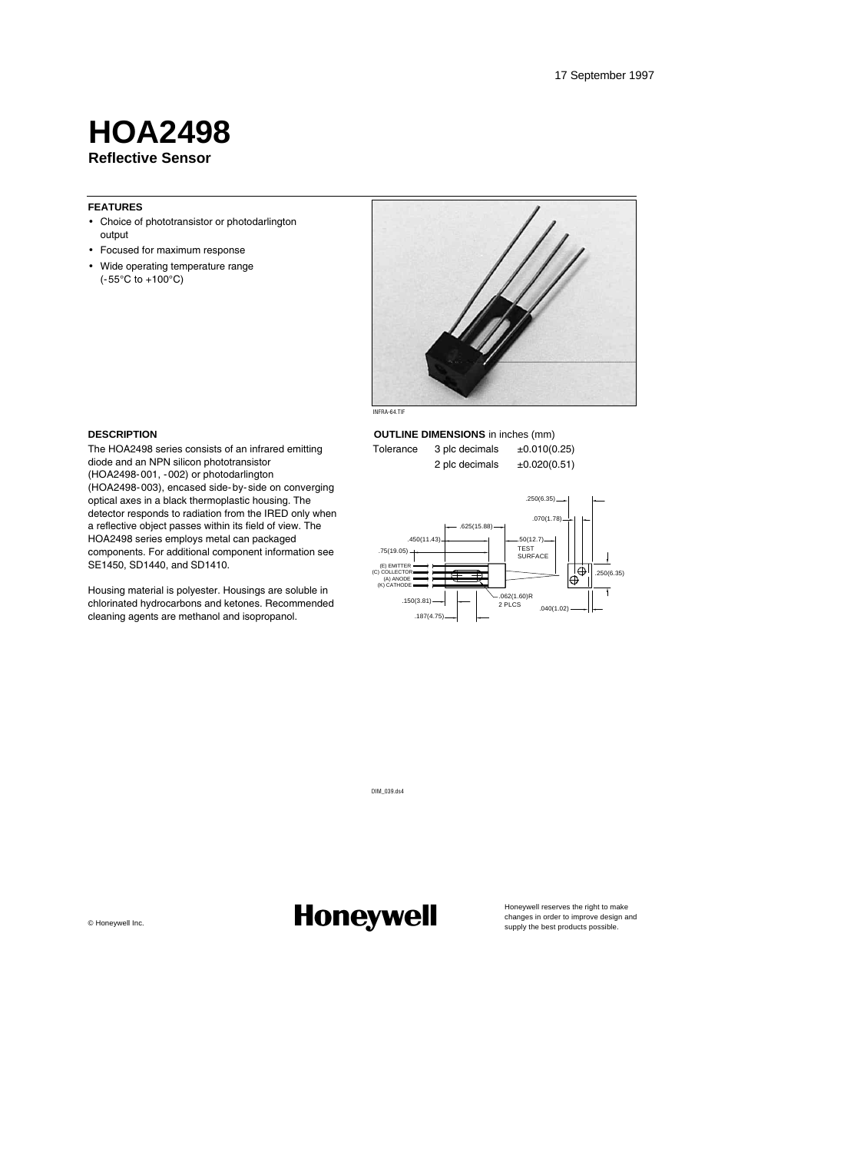### **Reflective Sensor HOA2498**

#### **FEATURES**

- Choice of phototransistor or photodarlington output
- Focused for maximum response
- Wide operating temperature range  $(-55^{\circ}C \text{ to } +100^{\circ}C)$



**OUTLINE DIMENSIONS** in inches (mm) Tolerance  $3$  plc decimals  $\pm 0.010(0.25)$ 2 plc decimals ±0.020(0.51)



#### **DESCRIPTION**

The HOA2498 series consists of an infrared emitting diode and an NPN silicon phototransistor (HOA2498-001, -002) or photodarlington (HOA2498-003), encased side-by-side on converging optical axes in a black thermoplastic housing. The detector responds to radiation from the IRED only when a reflective object passes within its field of view. The HOA2498 series employs metal can packaged components. For additional component information see SE1450, SD1440, and SD1410.

Housing material is polyester. Housings are soluble in chlorinated hydrocarbons and ketones. Recommended cleaning agents are methanol and isopropanol.

DIM\_039.ds4

Changywell Inc. **Changes in order to improve design and the metric increases** the right to manges in order to improve design and the metric improve design and the metric improve design and the metric improve design  $\epsilon$  be

Honeywell reserves the right to make<br>changes in order to improve design and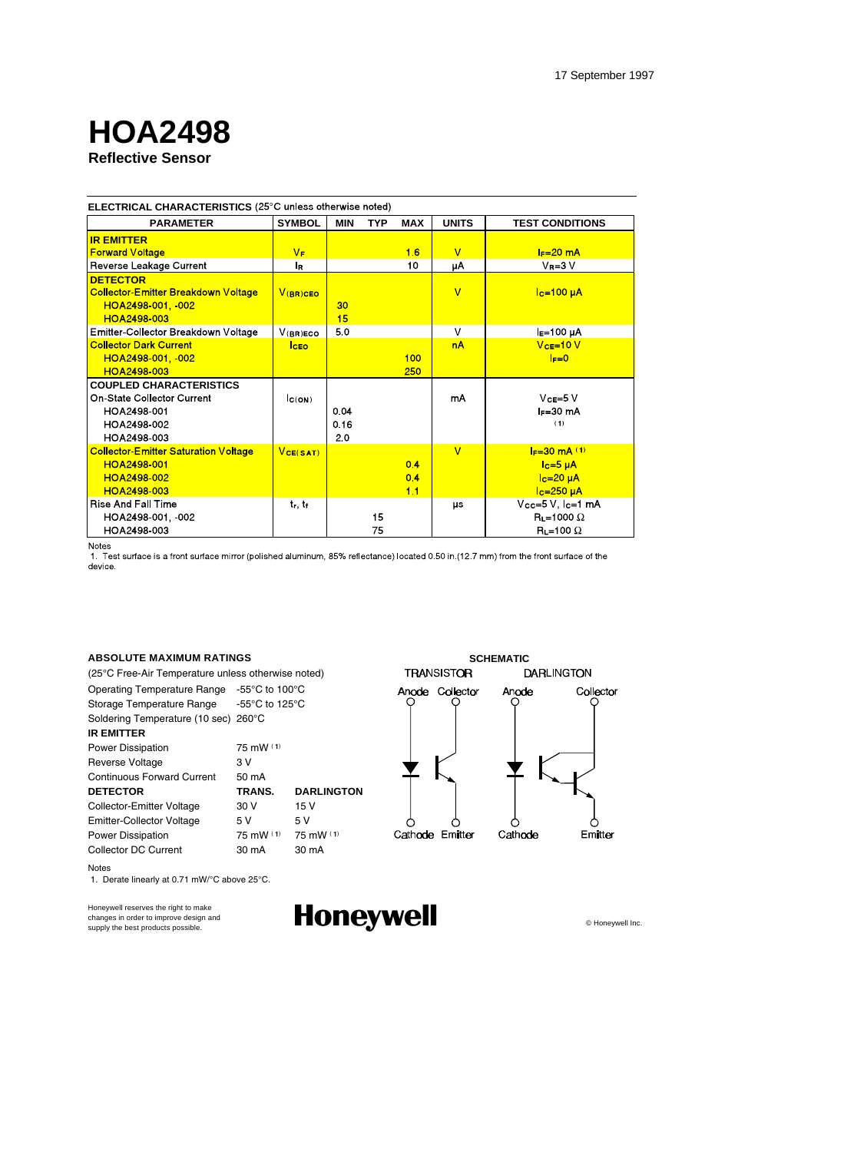# **HOA2498**

### **Reflective Sensor**

| ELECTRICAL CHARACTERISTICS (25°C unless otherwise noted) |                                |            |            |            |                |                        |
|----------------------------------------------------------|--------------------------------|------------|------------|------------|----------------|------------------------|
| <b>PARAMETER</b>                                         | <b>SYMBOL</b>                  | <b>MIN</b> | <b>TYP</b> | <b>MAX</b> | <b>UNITS</b>   | <b>TEST CONDITIONS</b> |
| <b>IR EMITTER</b>                                        |                                |            |            |            |                |                        |
| <b>Forward Voltage</b>                                   | $V_F$                          |            |            | 16         | $\overline{V}$ | $F = 20$ mA            |
| Reverse Leakage Current                                  | l <sub>R</sub>                 |            |            | 10         | μA             | $V_R = 3 V$            |
| <b>DETECTOR</b>                                          |                                |            |            |            |                |                        |
| <b>Collector-Emitter Breakdown Voltage</b>               | $V$ (BR)CEO                    |            |            |            | $\overline{V}$ | $lc=100 \mu A$         |
| HOA2498-001, 002                                         |                                | 30         |            |            |                |                        |
| HOA2498-003                                              |                                | 15         |            |            |                |                        |
| Emitter-Collector Breakdown Voltage                      | $V($ RR) ECO.                  | 5.0        |            |            | $\vee$         | $IE=100 \mu A$         |
| <b>Collector Dark Current</b>                            | <b>ICEO</b>                    |            |            |            | <b>nA</b>      | $VCE=10 V$             |
| HOA2498-001, -002                                        |                                |            |            | 100        |                | $I = 0$                |
| HOA2498-003                                              |                                |            |            | 250        |                |                        |
| <b>COUPLED CHARACTERISTICS</b>                           |                                |            |            |            |                |                        |
| On-State Collector Current                               | C(ON)                          |            |            |            | mA             | $VCE=5 V$              |
| HOA2498-001                                              |                                | 0.04       |            |            |                | $I = 30$ mA            |
| HOA2498-002                                              |                                | 0.16       |            |            |                | (1)                    |
| HOA2498 003                                              |                                | 20         |            |            |                |                        |
| <b>Collector-Emitter Saturation Voltage</b>              | VCE(SAT)                       |            |            |            | $\overline{V}$ | $I_F = 30$ mA $(1)$    |
| HOA2498-001                                              |                                |            |            | 0.4        |                | $Ic=5 \mu A$           |
| HOA2498-002                                              |                                |            |            | 04         |                | $Ic=20\muA$            |
| <b>HOA2498-003</b>                                       |                                |            |            | 11         |                | $Ic=250\muA$           |
| <b>Rise And Fall Time</b>                                | t <sub>r,</sub> t <sub>f</sub> |            |            |            | μs             | $Vcc=5 V, lc=1 mA$     |
| HOA2498-001, 002                                         |                                |            | 15         |            |                | $R_L = 1000 \Omega$    |
| HOA2498-003                                              |                                |            | 75         |            |                | $R_{L}$ =100 $\Omega$  |

Notes

Notes

……<br>1. Test surface is a front surface mirror (polished aluminum, 85% reflectance) located 0.50 in (12.7 mm) from the front surface of the device.

(25°C Free-Air Temperature unless otherwise noted)

Operating Temperature Range -55°C to 100°C Storage Temperature Range -55°C to 125°C Soldering Temperature (10 sec) 260°C **IR EMITTER** Power Dissipation 75 mW (1) Reverse Voltage 3V Continuous Forward Current 50 mA **DETECTOR TRANS. DARLINGTON** Collector-Emitter Voltage 30 V 15 V Emitter-Collector Voltage 5V 5V<br>
Power Dissipation 75 mW (1) 75 mW (1) Power Dissipation





Honeywell reserves the right to make changes in order to improve design and<br>supply the best products possible.

1. Derate linearly at 0.71 mW/°C above 25°C.

Honeywell **Moneywell**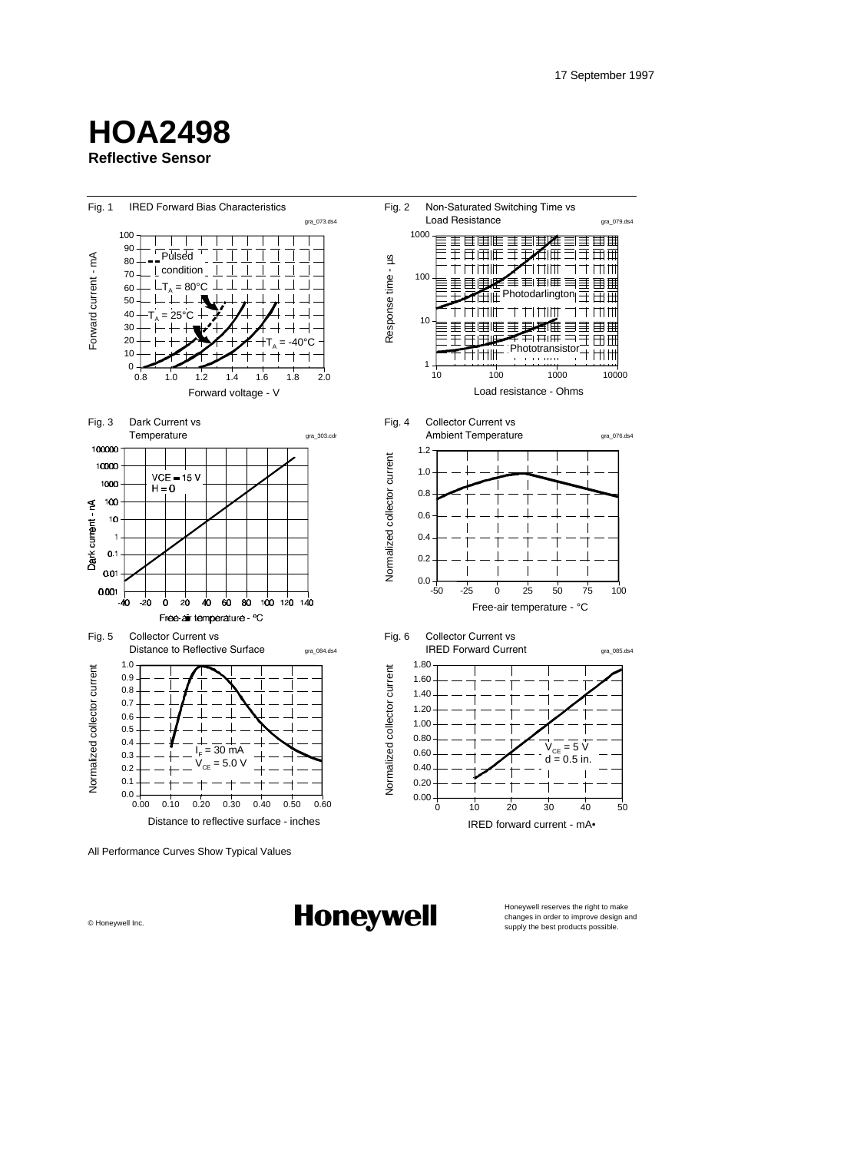## **Reflective Sensor HOA2498**





Honeywell reserves the right to make<br>changes in order to improve design and